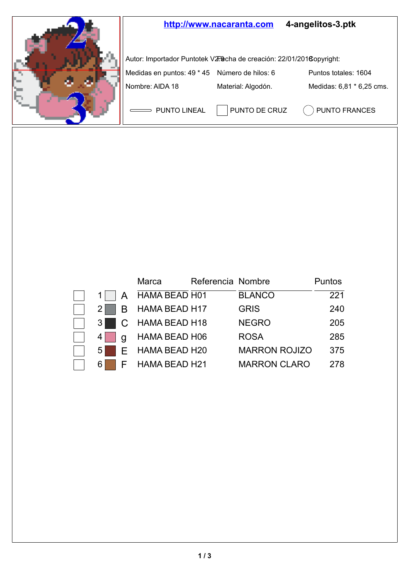

|  | Marca                                                     | Referencia Nombre |                      | Puntos |
|--|-----------------------------------------------------------|-------------------|----------------------|--------|
|  | 1 A HAMA BEAD H01                                         |                   | <b>BLANCO</b>        | 221    |
|  | $2 \Box B$ HAMA BEAD H17                                  |                   | <b>GRIS</b>          | 240    |
|  | 3 C HAMA BEAD H18                                         |                   | <b>NEGRO</b>         | 205    |
|  | $4 \begin{array}{ c } \hline \end{array}$ q HAMA BEAD H06 |                   | <b>ROSA</b>          | 285    |
|  | 5 E HAMA BEAD H20                                         |                   | <b>MARRON ROJIZO</b> | 375    |
|  | 6 F HAMA BEAD H21                                         |                   | <b>MARRON CLARO</b>  | 278    |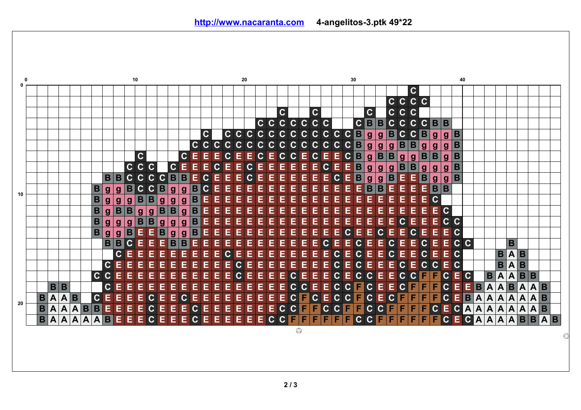